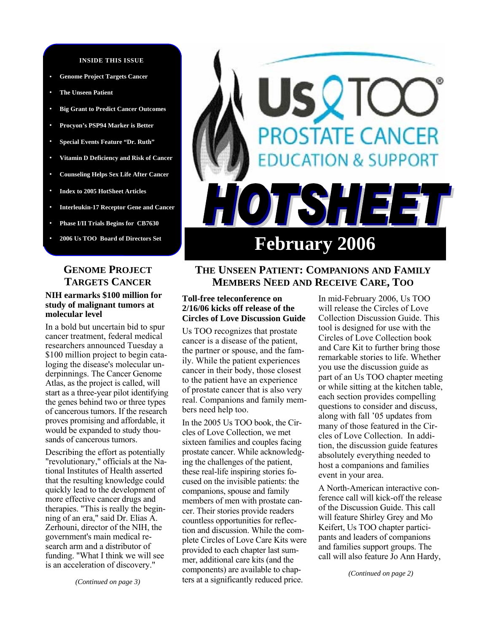#### **INSIDE THIS ISSUE**

- **Genome Project Targets Cancer**
- **• The Unseen Patient**
- **• Big Grant to Predict Cancer Outcomes**
- **• Procyon's PSP94 Marker is Better**
- **• Special Events Feature "Dr. Ruth"**
- **• Vitamin D Deficiency and Risk of Cancer**
- **• Counseling Helps Sex Life After Cancer**
- **• Index to 2005 HotSheet Articles**
- **• Interleukin-17 Receptor Gene and Cancer**
- **• Phase I/II Trials Begins for CB7630**
- **• 2006 Us TOO Board of Directors Set**

## **GENOME PROJECT TARGETS CANCER**

#### **NIH earmarks \$100 million for study of malignant tumors at molecular level**

In a bold but uncertain bid to spur cancer treatment, federal medical researchers announced Tuesday a \$100 million project to begin cataloging the disease's molecular underpinnings. The Cancer Genome Atlas, as the project is called, will start as a three-year pilot identifying the genes behind two or three types of cancerous tumors. If the research proves promising and affordable, it would be expanded to study thousands of cancerous tumors.

Describing the effort as potentially "revolutionary," officials at the National Institutes of Health asserted that the resulting knowledge could quickly lead to the development of more effective cancer drugs and therapies. "This is really the beginning of an era," said Dr. Elias A. Zerhouni, director of the NIH, the government's main medical research arm and a distributor of funding. "What I think we will see is an acceleration of discovery."

# **STATE CANCER ION & SUPPORT** 7H I E IS **February 2006**

# **THE UNSEEN PATIENT: COMPANIONS AND FAMILY MEMBERS NEED AND RECEIVE CARE, TOO**

#### **Toll-free teleconference on 2/16/06 kicks off release of the Circles of Love Discussion Guide**

Us TOO recognizes that prostate cancer is a disease of the patient, the partner or spouse, and the family. While the patient experiences cancer in their body, those closest to the patient have an experience of prostate cancer that is also very real. Companions and family members need help too.

In the 2005 Us TOO book, the Circles of Love Collection, we met sixteen families and couples facing prostate cancer. While acknowledging the challenges of the patient, these real-life inspiring stories focused on the invisible patients: the companions, spouse and family members of men with prostate cancer. Their stories provide readers countless opportunities for reflection and discussion. While the complete Circles of Love Care Kits were provided to each chapter last summer, additional care kits (and the components) are available to chapters at a significantly reduced price.

In mid-February 2006, Us TOO will release the Circles of Love Collection Discussion Guide. This tool is designed for use with the Circles of Love Collection book and Care Kit to further bring those remarkable stories to life. Whether you use the discussion guide as part of an Us TOO chapter meeting or while sitting at the kitchen table, each section provides compelling questions to consider and discuss, along with fall '05 updates from many of those featured in the Circles of Love Collection. In addition, the discussion guide features absolutely everything needed to host a companions and families event in your area.

A North-American interactive conference call will kick-off the release of the Discussion Guide. This call will feature Shirley Grey and Mo Keifert, Us TOO chapter participants and leaders of companions and families support groups. The call will also feature Jo Ann Hardy,

*(Continued on page 2)*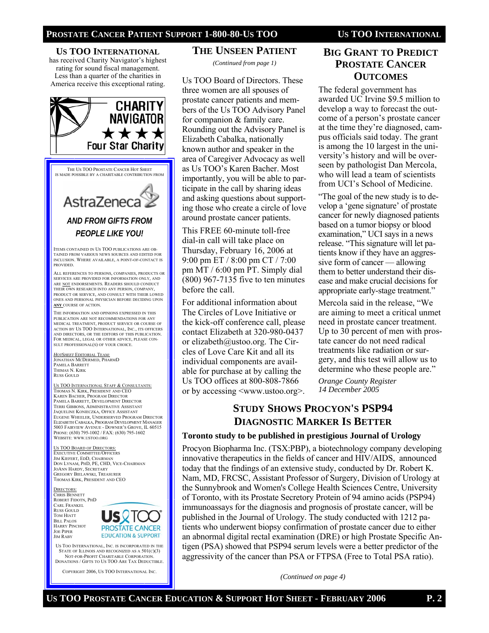#### **US TOO INTERNATIONAL** has received Charity Navigator's highest

rating for sound fiscal management. Less than a quarter of the charities in America receive this exceptional rating.



THE US TOO PROSTATE CANCER HOT SHEET IS MADE POSSIBLE BY A CHARITABLE CONTRIBUTION FROM

# AstraZeneca *AND FROM GIFTS FROM PEOPLE LIKE YOU!*

ITEMS CONTAINED IN US TOO PUBLICATIONS ARE OB-TAINED FROM VARIOUS NEWS SOURCES AND EDITED FOR INCLUSION. WHERE AVAILABLE, A POINT-OF-CONTACT IS **PROVIDED.** 

ALL REFERENCES TO PERSONS, COMPANIES, PRODUCTS OR SERVICES ARE PROVIDED FOR INFORMATION ONLY, AND ARE NOT ENDORSEMENTS. READERS SHOULD CONDUCT THEIR OWN RESEARCH INTO ANY PERSON, COMPANY, PRODUCT OR SERVICE, AND CONSULT WITH THEIR LOWED ONES AND PERSONAL PHYSICIAN BEFORE DECIDING UPON **ANY** COURSE OF ACTION.

THE INFORMATION AND OPINIONS EXPRESSED IN THIS PUBLICATION ARE NOT RECOMMENDATIONS FOR ANY MEDICAL TREATMENT, PRODUCT SERVICE OR COURSE OF ACTION BY US TOO INTERNATIONAL, INC., ITS OFFICERS AND DIRECTORS, OR THE EDITORS OF THIS PUBLICATION. FOR MEDICAL, LEGAL OR OTHER ADVICE, PLEASE CON-SULT PROFESSIONAL(S) OF YOUR CHOICE.

*HOTSHEET* EDITORIAL TEAM: JONATHAN MCDERMED, PHARMD PAMELA BARRETT THIMAS N. KIRK RUSS GOULD

US TOO INTERNATIONAL STAFF & CONSULTANTS: THOMAS N. KIRK, PRESIDENT AND CEO KAREN BACHER, PROGRAM DIRECTOR PAMELA BARRETT, DEVELOPMENT DIRECTOR TERRI GIBBONS, ADMINISTRATIVE ASSISTANT JAQUELINE KONIECZKA, OFFICE ASSISTANT EUGENE WHEELER, UNDERSERVED PROGRAM DIRECTOR ELIZABETH CABALKA, PROGRAM DEVELOPMENT MANAGER 5003 FAIRVIEW AVENUE - DOWNER'S GROVE, IL 60515 PHONE: (630) 795-1002 / FAX: (630) 795-1602 WEBSITE: WWW.USTOO.ORG

#### US TOO BOARD OF DIRECTORS: EXECUTIVE COMMITTEE/OFFICERS JIM KIEFERT, EDD, CHAIRMAN DON LYNAM, PHD, PE, CHD, VICE-CHAIRMAN JOANN HARDY, SECRETARY GREGORY BIELAWSKI, TREASURER THOMAS KIRK, PRESIDENT AND CEO

DIRECTORS: CHRIS BENNETT ROBERT FIDOTN, PHD CARL FRANKEL RUSS GOULD TOM HIATT BILL PALOS HARRY PINCHOT JOE PIPER JIM RABY



US TOO INTERNATIONAL, INC. IS INCORPORATED IN THE STATE OF ILLINOIS AND RECOGNIZED AS A 501(C)(3) NOT-FOR-PROFIT CHARITABLE CORPORATION. DONATIONS / GIFTS TO US TOO ARE TAX DEDUCTIBLE.

COPYRIGHT 2006, US TOO INTERNATIONAL INC.

# **THE UNSEEN PATIENT**

*(Continued from page 1)* 

Us TOO Board of Directors. These three women are all spouses of prostate cancer patients and members of the Us TOO Advisory Panel for companion & family care. Rounding out the Advisory Panel is Elizabeth Cabalka, nationally known author and speaker in the area of Caregiver Advocacy as well as Us TOO's Karen Bacher. Most importantly, you will be able to participate in the call by sharing ideas and asking questions about supporting those who create a circle of love around prostate cancer patients.

This FREE 60-minute toll-free dial-in call will take place on Thursday, February 16, 2006 at 9:00 pm ET / 8:00 pm CT / 7:00 pm MT / 6:00 pm PT. Simply dial (800) 967-7135 five to ten minutes before the call.

For additional information about The Circles of Love Initiative or the kick-off conference call, please contact Elizabeth at 320-980-0437 or elizabeth@ustoo.org. The Circles of Love Care Kit and all its individual components are available for purchase at by calling the Us TOO offices at 800-808-7866 or by accessing <www.ustoo.org>.

# **BIG GRANT TO PREDICT PROSTATE CANCER OUTCOMES**

The federal government has awarded UC Irvine \$9.5 million to develop a way to forecast the outcome of a person's prostate cancer at the time they're diagnosed, campus officials said today. The grant is among the 10 largest in the university's history and will be overseen by pathologist Dan Mercola, who will lead a team of scientists from UCI's School of Medicine.

"The goal of the new study is to develop a 'gene signature' of prostate cancer for newly diagnosed patients based on a tumor biopsy or blood examination," UCI says in a news release. "This signature will let patients know if they have an aggressive form of cancer — allowing them to better understand their disease and make crucial decisions for appropriate early-stage treatment."

Mercola said in the release, "We are aiming to meet a critical unmet need in prostate cancer treatment. Up to 30 percent of men with prostate cancer do not need radical treatments like radiation or surgery, and this test will allow us to determine who these people are."

*Orange County Register 14 December 2005* 

# **STUDY SHOWS PROCYON'S PSP94 DIAGNOSTIC MARKER IS BETTER**

#### **Toronto study to be published in prestigious Journal of Urology**

Procyon Biopharma Inc. (TSX:PBP), a biotechnology company developing innovative therapeutics in the fields of cancer and HIV/AIDS, announced today that the findings of an extensive study, conducted by Dr. Robert K. Nam, MD, FRCSC, Assistant Professor of Surgery, Division of Urology at the Sunnybrook and Women's College Health Sciences Centre, University of Toronto, with its Prostate Secretory Protein of 94 amino acids (PSP94) immunoassays for the diagnosis and prognosis of prostate cancer, will be published in the Journal of Urology. The study conducted with 1212 patients who underwent biopsy confirmation of prostate cancer due to either an abnormal digital rectal examination (DRE) or high Prostate Specific Antigen (PSA) showed that PSP94 serum levels were a better predictor of the aggressivity of the cancer than PSA or FTPSA (Free to Total PSA ratio).

*(Continued on page 4)*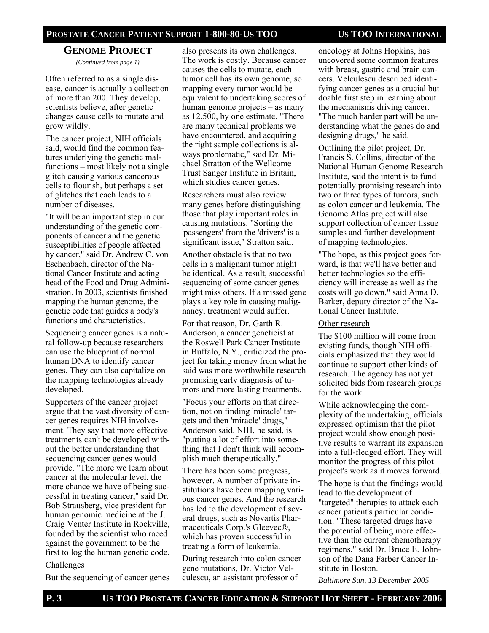#### **GENOME PROJECT** *(Continued from page 1)*

Often referred to as a single disease, cancer is actually a collection of more than 200. They develop, scientists believe, after genetic changes cause cells to mutate and grow wildly.

The cancer project, NIH officials said, would find the common features underlying the genetic malfunctions – most likely not a single glitch causing various cancerous cells to flourish, but perhaps a set of glitches that each leads to a number of diseases.

"It will be an important step in our understanding of the genetic components of cancer and the genetic susceptibilities of people affected by cancer," said Dr. Andrew C. von Eschenbach, director of the National Cancer Institute and acting head of the Food and Drug Administration. In 2003, scientists finished mapping the human genome, the genetic code that guides a body's functions and characteristics.

Sequencing cancer genes is a natural follow-up because researchers can use the blueprint of normal human DNA to identify cancer genes. They can also capitalize on the mapping technologies already developed.

Supporters of the cancer project argue that the vast diversity of cancer genes requires NIH involvement. They say that more effective treatments can't be developed without the better understanding that sequencing cancer genes would provide. "The more we learn about cancer at the molecular level, the more chance we have of being successful in treating cancer," said Dr. Bob Strausberg, vice president for human genomic medicine at the J. Craig Venter Institute in Rockville, founded by the scientist who raced against the government to be the first to log the human genetic code.

#### Challenges

But the sequencing of cancer genes

also presents its own challenges. The work is costly. Because cancer causes the cells to mutate, each tumor cell has its own genome, so mapping every tumor would be equivalent to undertaking scores of human genome projects – as many as 12,500, by one estimate. "There are many technical problems we have encountered, and acquiring the right sample collections is always problematic," said Dr. Michael Stratton of the Wellcome Trust Sanger Institute in Britain, which studies cancer genes.

Researchers must also review many genes before distinguishing those that play important roles in causing mutations. "Sorting the 'passengers' from the 'drivers' is a significant issue," Stratton said.

Another obstacle is that no two cells in a malignant tumor might be identical. As a result, successful sequencing of some cancer genes might miss others. If a missed gene plays a key role in causing malignancy, treatment would suffer.

For that reason, Dr. Garth R. Anderson, a cancer geneticist at the Roswell Park Cancer Institute in Buffalo, N.Y., criticized the project for taking money from what he said was more worthwhile research promising early diagnosis of tumors and more lasting treatments.

"Focus your efforts on that direction, not on finding 'miracle' targets and then 'miracle' drugs," Anderson said. NIH, he said, is "putting a lot of effort into something that I don't think will accomplish much therapeutically."

There has been some progress, however. A number of private institutions have been mapping various cancer genes. And the research has led to the development of several drugs, such as Novartis Pharmaceuticals Corp.'s Gleevec®, which has proven successful in treating a form of leukemia.

During research into colon cancer gene mutations, Dr. Victor Velculescu, an assistant professor of

oncology at Johns Hopkins, has uncovered some common features with breast, gastric and brain cancers. Velculescu described identifying cancer genes as a crucial but doable first step in learning about the mechanisms driving cancer. "The much harder part will be understanding what the genes do and designing drugs," he said.

Outlining the pilot project, Dr. Francis S. Collins, director of the National Human Genome Research Institute, said the intent is to fund potentially promising research into two or three types of tumors, such as colon cancer and leukemia. The Genome Atlas project will also support collection of cancer tissue samples and further development of mapping technologies.

"The hope, as this project goes forward, is that we'll have better and better technologies so the efficiency will increase as well as the costs will go down," said Anna D. Barker, deputy director of the National Cancer Institute.

#### Other research

The \$100 million will come from existing funds, though NIH officials emphasized that they would continue to support other kinds of research. The agency has not yet solicited bids from research groups for the work.

While acknowledging the complexity of the undertaking, officials expressed optimism that the pilot project would show enough positive results to warrant its expansion into a full-fledged effort. They will monitor the progress of this pilot project's work as it moves forward.

The hope is that the findings would lead to the development of "targeted" therapies to attack each cancer patient's particular condition. "These targeted drugs have the potential of being more effective than the current chemotherapy regimens," said Dr. Bruce E. Johnson of the Dana Farber Cancer Institute in Boston.

*Baltimore Sun, 13 December 2005*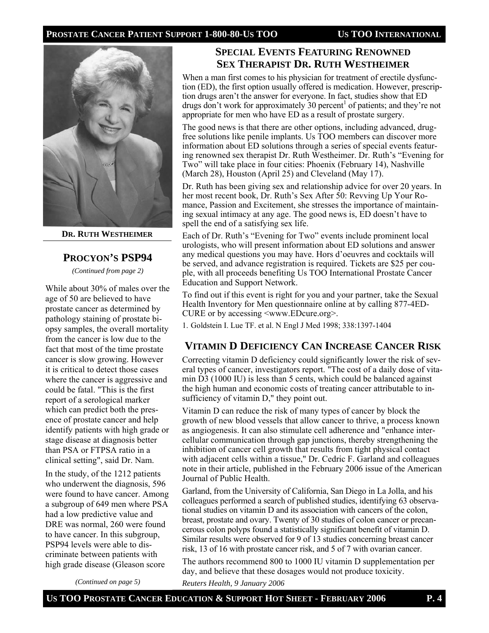

**DR. RUTH WESTHEIMER**

#### **PROCYON'S PSP94**

*(Continued from page 2)* 

While about 30% of males over the age of 50 are believed to have prostate cancer as determined by pathology staining of prostate biopsy samples, the overall mortality from the cancer is low due to the fact that most of the time prostate cancer is slow growing. However it is critical to detect those cases where the cancer is aggressive and could be fatal. "This is the first report of a serological marker which can predict both the presence of prostate cancer and help identify patients with high grade or stage disease at diagnosis better than PSA or FTPSA ratio in a clinical setting", said Dr. Nam.

In the study, of the 1212 patients who underwent the diagnosis, 596 were found to have cancer. Among a subgroup of 649 men where PSA had a low predictive value and DRE was normal, 260 were found to have cancer. In this subgroup, PSP94 levels were able to discriminate between patients with high grade disease (Gleason score

*(Continued on page 5)* 

# **SPECIAL EVENTS FEATURING RENOWNED SEX THERAPIST DR. RUTH WESTHEIMER**

When a man first comes to his physician for treatment of erectile dysfunction (ED), the first option usually offered is medication. However, prescription drugs aren't the answer for everyone. In fact, studies show that ED drugs don't work for approximately  $30$  percent<sup>1</sup> of patients; and they're not appropriate for men who have ED as a result of prostate surgery.

The good news is that there are other options, including advanced, drugfree solutions like penile implants. Us TOO members can discover more information about ED solutions through a series of special events featuring renowned sex therapist Dr. Ruth Westheimer. Dr. Ruth's "Evening for Two" will take place in four cities: Phoenix (February 14), Nashville (March 28), Houston (April 25) and Cleveland (May 17).

Dr. Ruth has been giving sex and relationship advice for over 20 years. In her most recent book, Dr. Ruth's Sex After 50: Revving Up Your Romance, Passion and Excitement, she stresses the importance of maintaining sexual intimacy at any age. The good news is, ED doesn't have to spell the end of a satisfying sex life.

Each of Dr. Ruth's "Evening for Two" events include prominent local urologists, who will present information about ED solutions and answer any medical questions you may have. Hors d'oeuvres and cocktails will be served, and advance registration is required. Tickets are \$25 per couple, with all proceeds benefiting Us TOO International Prostate Cancer Education and Support Network.

To find out if this event is right for you and your partner, take the Sexual Health Inventory for Men questionnaire online at by calling 877-4ED-CURE or by accessing <www.EDcure.org>.

1. Goldstein I. Lue TF. et al. N Engl J Med 1998; 338:1397-1404

# **VITAMIN D DEFICIENCY CAN INCREASE CANCER RISK**

Correcting vitamin D deficiency could significantly lower the risk of several types of cancer, investigators report. "The cost of a daily dose of vitamin D3 (1000 IU) is less than 5 cents, which could be balanced against the high human and economic costs of treating cancer attributable to insufficiency of vitamin D," they point out.

Vitamin D can reduce the risk of many types of cancer by block the growth of new blood vessels that allow cancer to thrive, a process known as angiogenesis. It can also stimulate cell adherence and "enhance intercellular communication through gap junctions, thereby strengthening the inhibition of cancer cell growth that results from tight physical contact with adjacent cells within a tissue," Dr. Cedric F. Garland and colleagues note in their article, published in the February 2006 issue of the American Journal of Public Health.

Garland, from the University of California, San Diego in La Jolla, and his colleagues performed a search of published studies, identifying 63 observational studies on vitamin D and its association with cancers of the colon, breast, prostate and ovary. Twenty of 30 studies of colon cancer or precancerous colon polyps found a statistically significant benefit of vitamin D. Similar results were observed for 9 of 13 studies concerning breast cancer risk, 13 of 16 with prostate cancer risk, and 5 of 7 with ovarian cancer.

The authors recommend 800 to 1000 IU vitamin D supplementation per day, and believe that these dosages would not produce toxicity.

*Reuters Health, 9 January 2006*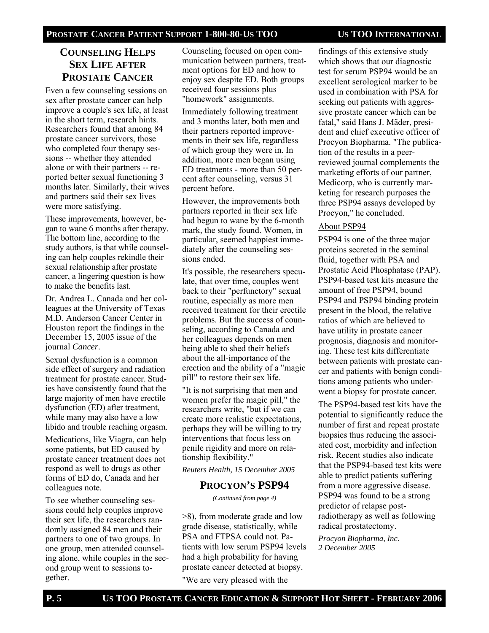# **COUNSELING HELPS SEX LIFE AFTER PROSTATE CANCER**

Even a few counseling sessions on sex after prostate cancer can help improve a couple's sex life, at least in the short term, research hints. Researchers found that among 84 prostate cancer survivors, those who completed four therapy sessions -- whether they attended alone or with their partners -- reported better sexual functioning 3 months later. Similarly, their wives and partners said their sex lives were more satisfying.

These improvements, however, began to wane 6 months after therapy. The bottom line, according to the study authors, is that while counseling can help couples rekindle their sexual relationship after prostate cancer, a lingering question is how to make the benefits last.

Dr. Andrea L. Canada and her colleagues at the University of Texas M.D. Anderson Cancer Center in Houston report the findings in the December 15, 2005 issue of the journal *Cancer*.

Sexual dysfunction is a common side effect of surgery and radiation treatment for prostate cancer. Studies have consistently found that the large majority of men have erectile dysfunction (ED) after treatment, while many may also have a low libido and trouble reaching orgasm.

Medications, like Viagra, can help some patients, but ED caused by prostate cancer treatment does not respond as well to drugs as other forms of ED do, Canada and her colleagues note.

To see whether counseling sessions could help couples improve their sex life, the researchers randomly assigned 84 men and their partners to one of two groups. In one group, men attended counseling alone, while couples in the second group went to sessions together.

Counseling focused on open communication between partners, treatment options for ED and how to enjoy sex despite ED. Both groups received four sessions plus "homework" assignments.

Immediately following treatment and 3 months later, both men and their partners reported improvements in their sex life, regardless of which group they were in. In addition, more men began using ED treatments - more than 50 percent after counseling, versus 31 percent before.

However, the improvements both partners reported in their sex life had begun to wane by the 6-month mark, the study found. Women, in particular, seemed happiest immediately after the counseling sessions ended.

It's possible, the researchers speculate, that over time, couples went back to their "perfunctory" sexual routine, especially as more men received treatment for their erectile problems. But the success of counseling, according to Canada and her colleagues depends on men being able to shed their beliefs about the all-importance of the erection and the ability of a "magic pill" to restore their sex life.

"It is not surprising that men and women prefer the magic pill," the researchers write, "but if we can create more realistic expectations, perhaps they will be willing to try interventions that focus less on penile rigidity and more on relationship flexibility."

*Reuters Health, 15 December 2005* 

#### **PROCYON'S PSP94**

*(Continued from page 4)* 

>8), from moderate grade and low grade disease, statistically, while PSA and FTPSA could not. Patients with low serum PSP94 levels had a high probability for having prostate cancer detected at biopsy.

"We are very pleased with the

findings of this extensive study which shows that our diagnostic test for serum PSP94 would be an excellent serological marker to be used in combination with PSA for seeking out patients with aggressive prostate cancer which can be fatal," said Hans J. Mäder, president and chief executive officer of Procyon Biopharma. "The publication of the results in a peerreviewed journal complements the marketing efforts of our partner, Medicorp, who is currently marketing for research purposes the three PSP94 assays developed by Procyon," he concluded.

#### About PSP94

PSP94 is one of the three major proteins secreted in the seminal fluid, together with PSA and Prostatic Acid Phosphatase (PAP). PSP94-based test kits measure the amount of free PSP94, bound PSP94 and PSP94 binding protein present in the blood, the relative ratios of which are believed to have utility in prostate cancer prognosis, diagnosis and monitoring. These test kits differentiate between patients with prostate cancer and patients with benign conditions among patients who underwent a biopsy for prostate cancer.

The PSP94-based test kits have the potential to significantly reduce the number of first and repeat prostate biopsies thus reducing the associated cost, morbidity and infection risk. Recent studies also indicate that the PSP94-based test kits were able to predict patients suffering from a more aggressive disease. PSP94 was found to be a strong predictor of relapse postradiotherapy as well as following radical prostatectomy.

*Procyon Biopharma, Inc. 2 December 2005*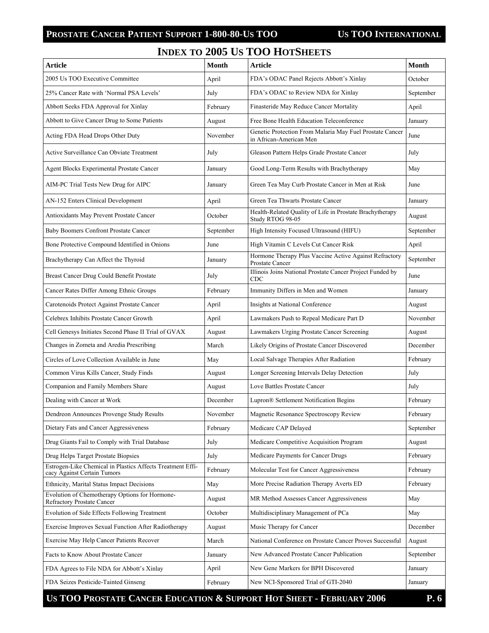# **INDEX TO 2005 US TOO HOTSHEETS**

| <b>Article</b>                                                                            | <b>Month</b> | <b>Article</b>                                                                      | Month     |
|-------------------------------------------------------------------------------------------|--------------|-------------------------------------------------------------------------------------|-----------|
| 2005 Us TOO Executive Committee                                                           | April        | FDA's ODAC Panel Rejects Abbott's Xinlay                                            | October   |
| 25% Cancer Rate with 'Normal PSA Levels'                                                  | July         | FDA's ODAC to Review NDA for Xinlay                                                 | September |
| Abbott Seeks FDA Approval for Xinlay                                                      | February     | Finasteride May Reduce Cancer Mortality                                             | April     |
| Abbott to Give Cancer Drug to Some Patients                                               | August       | Free Bone Health Education Teleconference                                           | January   |
| Acting FDA Head Drops Other Duty                                                          | November     | Genetic Protection From Malaria May Fuel Prostate Cancer<br>in African-American Men | June      |
| Active Surveillance Can Obviate Treatment                                                 | July         | Gleason Pattern Helps Grade Prostate Cancer                                         | July      |
| <b>Agent Blocks Experimental Prostate Cancer</b>                                          | January      | Good Long-Term Results with Brachytherapy                                           | May       |
| AIM-PC Trial Tests New Drug for AIPC                                                      | January      | Green Tea May Curb Prostate Cancer in Men at Risk                                   | June      |
| AN-152 Enters Clinical Development                                                        | April        | Green Tea Thwarts Prostate Cancer                                                   | January   |
| Antioxidants May Prevent Prostate Cancer                                                  | October      | Health-Related Quality of Life in Prostate Brachytherapy<br>Study RTOG 98-05        | August    |
| <b>Baby Boomers Confront Prostate Cancer</b>                                              | September    | High Intensity Focused Ultrasound (HIFU)                                            | September |
| Bone Protective Compound Identified in Onions                                             | June         | High Vitamin C Levels Cut Cancer Risk                                               | April     |
| Brachytherapy Can Affect the Thyroid                                                      | January      | Hormone Therapy Plus Vaccine Active Against Refractory<br>Prostate Cancer           | September |
| Breast Cancer Drug Could Benefit Prostate                                                 | July         | Illinois Joins National Prostate Cancer Project Funded by<br>CDC                    | June      |
| Cancer Rates Differ Among Ethnic Groups                                                   | February     | Immunity Differs in Men and Women                                                   | January   |
| Carotenoids Protect Against Prostate Cancer                                               | April        | Insights at National Conference                                                     | August    |
| Celebrex Inhibits Prostate Cancer Growth                                                  | April        | Lawmakers Push to Repeal Medicare Part D                                            | November  |
| Cell Genesys Initiates Second Phase II Trial of GVAX                                      | August       | Lawmakers Urging Prostate Cancer Screening                                          | August    |
| Changes in Zometa and Aredia Prescribing                                                  | March        | Likely Origins of Prostate Cancer Discovered                                        | December  |
| Circles of Love Collection Available in June                                              | May          | Local Salvage Therapies After Radiation                                             | February  |
| Common Virus Kills Cancer, Study Finds                                                    | August       | Longer Screening Intervals Delay Detection                                          | July      |
| Companion and Family Members Share                                                        | August       | Love Battles Prostate Cancer                                                        | July      |
| Dealing with Cancer at Work                                                               | December     | Lupron® Settlement Notification Begins                                              | February  |
| Dendreon Announces Provenge Study Results                                                 | November     | Magnetic Resonance Spectroscopy Review                                              | February  |
| Dietary Fats and Cancer Aggressiveness                                                    | February     | Medicare CAP Delayed                                                                | September |
| Drug Giants Fail to Comply with Trial Database                                            | July         | Medicare Competitive Acquisition Program                                            | August    |
| Drug Helps Target Prostate Biopsies                                                       | July         | Medicare Payments for Cancer Drugs                                                  | February  |
| Estrogen-Like Chemical in Plastics Affects Treatment Effi-<br>cacy Against Certain Tumors | February     | Molecular Test for Cancer Aggressiveness                                            | February  |
| Ethnicity, Marital Status Impact Decisions                                                | May          | More Precise Radiation Therapy Averts ED                                            | February  |
| Evolution of Chemotherapy Options for Hormone-<br><b>Refractory Prostate Cancer</b>       | August       | MR Method Assesses Cancer Aggressiveness                                            | May       |
| Evolution of Side Effects Following Treatment                                             | October      | Multidisciplinary Management of PCa                                                 | May       |
| Exercise Improves Sexual Function After Radiotherapy                                      | August       | Music Therapy for Cancer                                                            | December  |
| Exercise May Help Cancer Patients Recover                                                 | March        | National Conference on Prostate Cancer Proves Successful                            | August    |
| Facts to Know About Prostate Cancer                                                       | January      | New Advanced Prostate Cancer Publication                                            | September |
| FDA Agrees to File NDA for Abbott's Xinlay                                                | April        | New Gene Markers for BPH Discovered                                                 | January   |
| FDA Seizes Pesticide-Tainted Ginseng                                                      | February     | New NCI-Sponsored Trial of GTI-2040                                                 | January   |

US TOO PROSTATE CANCER EDUCATION & SUPPORT HOT SHEET - FEBRUARY 2006 P.6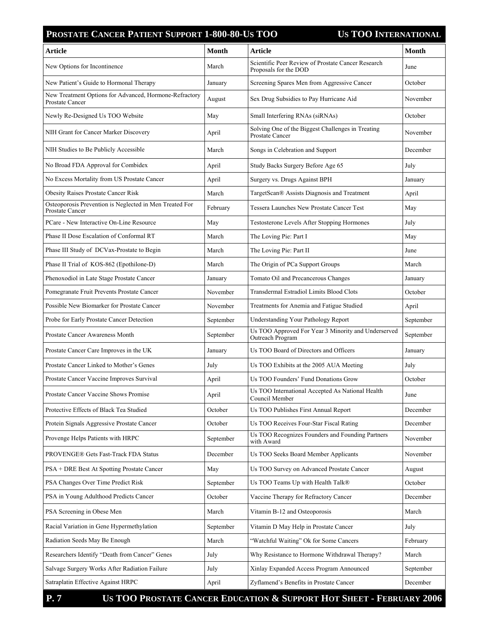| <b>Article</b>                                                                   | <b>Month</b> | <b>Article</b>                                                              | <b>Month</b> |
|----------------------------------------------------------------------------------|--------------|-----------------------------------------------------------------------------|--------------|
| New Options for Incontinence                                                     | March        | Scientific Peer Review of Prostate Cancer Research<br>Proposals for the DOD | June         |
| New Patient's Guide to Hormonal Therapy                                          | January      | Screening Spares Men from Aggressive Cancer                                 | October      |
| New Treatment Options for Advanced, Hormone-Refractory<br><b>Prostate Cancer</b> | August       | Sex Drug Subsidies to Pay Hurricane Aid                                     | November     |
| Newly Re-Designed Us TOO Website                                                 | May          | Small Interfering RNAs (siRNAs)                                             | October      |
| NIH Grant for Cancer Marker Discovery                                            | April        | Solving One of the Biggest Challenges in Treating<br>Prostate Cancer        | November     |
| NIH Studies to Be Publicly Accessible                                            | March        | Songs in Celebration and Support                                            | December     |
| No Broad FDA Approval for Combidex                                               | April        | Study Backs Surgery Before Age 65                                           | July         |
| No Excess Mortality from US Prostate Cancer                                      | April        | Surgery vs. Drugs Against BPH                                               | January      |
| <b>Obesity Raises Prostate Cancer Risk</b>                                       | March        | TargetScan® Assists Diagnosis and Treatment                                 | April        |
| Osteoporosis Prevention is Neglected in Men Treated For<br>Prostate Cancer       | February     | Tessera Launches New Prostate Cancer Test                                   | May          |
| PCare - New Interactive On-Line Resource                                         | May          | Testosterone Levels After Stopping Hormones                                 | July         |
| Phase II Dose Escalation of Conformal RT                                         | March        | The Loving Pie: Part I                                                      | May          |
| Phase III Study of DCVax-Prostate to Begin                                       | March        | The Loving Pie: Part II                                                     | June         |
| Phase II Trial of KOS-862 (Epothilone-D)                                         | March        | The Origin of PCa Support Groups                                            | March        |
| Phenoxodiol in Late Stage Prostate Cancer                                        | January      | Tomato Oil and Precancerous Changes                                         | January      |
| Pomegranate Fruit Prevents Prostate Cancer                                       | November     | Transdermal Estradiol Limits Blood Clots                                    | October      |
| Possible New Biomarker for Prostate Cancer                                       | November     | Treatments for Anemia and Fatigue Studied                                   | April        |
| Probe for Early Prostate Cancer Detection                                        | September    | Understanding Your Pathology Report                                         | September    |
| Prostate Cancer Awareness Month                                                  | September    | Us TOO Approved For Year 3 Minority and Underserved<br>Outreach Program     | September    |
| Prostate Cancer Care Improves in the UK                                          | January      | Us TOO Board of Directors and Officers                                      | January      |
| Prostate Cancer Linked to Mother's Genes                                         | July         | Us TOO Exhibits at the 2005 AUA Meeting                                     | July         |
| Prostate Cancer Vaccine Improves Survival                                        | April        | Us TOO Founders' Fund Donations Grow                                        | October      |
| Prostate Cancer Vaccine Shows Promise                                            | April        | Us TOO International Accepted As National Health<br>Council Member          | June         |
| Protective Effects of Black Tea Studied                                          | October      | Us TOO Publishes First Annual Report                                        | December     |
| Protein Signals Aggressive Prostate Cancer                                       | October      | Us TOO Receives Four-Star Fiscal Rating                                     | December     |
| Provenge Helps Patients with HRPC                                                | September    | Us TOO Recognizes Founders and Founding Partners<br>with Award              | November     |
| PROVENGE® Gets Fast-Track FDA Status                                             | December     | Us TOO Seeks Board Member Applicants                                        | November     |
| PSA + DRE Best At Spotting Prostate Cancer                                       | May          | Us TOO Survey on Advanced Prostate Cancer                                   | August       |
| PSA Changes Over Time Predict Risk                                               | September    | Us TOO Teams Up with Health Talk®                                           | October      |
| PSA in Young Adulthood Predicts Cancer                                           | October      | Vaccine Therapy for Refractory Cancer                                       | December     |
| PSA Screening in Obese Men                                                       | March        | Vitamin B-12 and Osteoporosis                                               | March        |
| Racial Variation in Gene Hypermethylation                                        | September    | Vitamin D May Help in Prostate Cancer                                       | July         |
| Radiation Seeds May Be Enough                                                    | March        | "Watchful Waiting" Ok for Some Cancers                                      | February     |
| Researchers Identify "Death from Cancer" Genes                                   | July         | Why Resistance to Hormone Withdrawal Therapy?                               | March        |
| Salvage Surgery Works After Radiation Failure                                    | July         | Xinlay Expanded Access Program Announced                                    | September    |
| Satraplatin Effective Against HRPC                                               | April        | Zyflamend's Benefits in Prostate Cancer                                     | December     |

**P. 7 US TOO PROSTATE CANCER EDUCATION & SUPPORT HOT SHEET - FEBRUARY 2006**